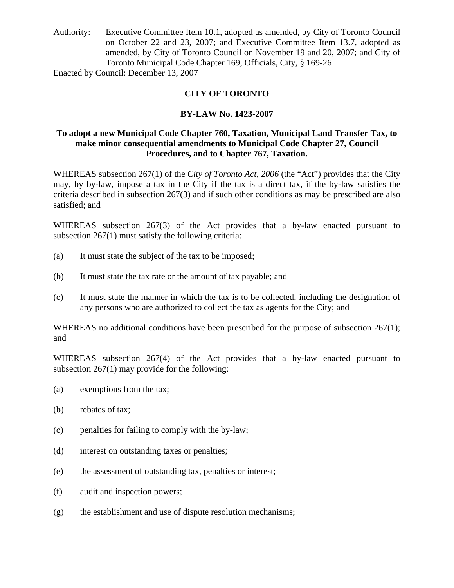Authority: Executive Committee Item 10.1, adopted as amended, by City of Toronto Council on October 22 and 23, 2007; and Executive Committee Item 13.7, adopted as amended, by City of Toronto Council on November 19 and 20, 2007; and City of Toronto Municipal Code Chapter 169, Officials, City, § 169-26

Enacted by Council: December 13, 2007

# **CITY OF TORONTO**

# **BY-LAW No. 1423-2007**

# **To adopt a new Municipal Code Chapter 760, Taxation, Municipal Land Transfer Tax, to make minor consequential amendments to Municipal Code Chapter 27, Council Procedures, and to Chapter 767, Taxation.**

WHEREAS subsection 267(1) of the *City of Toronto Act, 2006* (the "Act") provides that the City may, by by-law, impose a tax in the City if the tax is a direct tax, if the by-law satisfies the criteria described in subsection 267(3) and if such other conditions as may be prescribed are also satisfied; and

WHEREAS subsection 267(3) of the Act provides that a by-law enacted pursuant to subsection 267(1) must satisfy the following criteria:

- (a) It must state the subject of the tax to be imposed;
- (b) It must state the tax rate or the amount of tax payable; and
- (c) It must state the manner in which the tax is to be collected, including the designation of any persons who are authorized to collect the tax as agents for the City; and

WHEREAS no additional conditions have been prescribed for the purpose of subsection 267(1); and

WHEREAS subsection 267(4) of the Act provides that a by-law enacted pursuant to subsection 267(1) may provide for the following:

- (a) exemptions from the tax;
- (b) rebates of tax;
- (c) penalties for failing to comply with the by-law;
- (d) interest on outstanding taxes or penalties;
- (e) the assessment of outstanding tax, penalties or interest;
- (f) audit and inspection powers;
- (g) the establishment and use of dispute resolution mechanisms;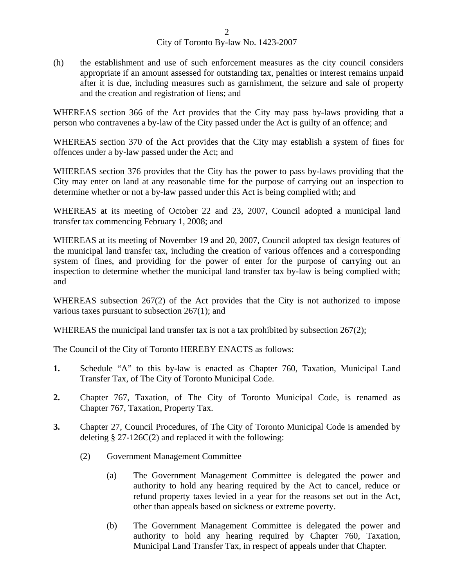(h) the establishment and use of such enforcement measures as the city council considers appropriate if an amount assessed for outstanding tax, penalties or interest remains unpaid after it is due, including measures such as garnishment, the seizure and sale of property and the creation and registration of liens; and

WHEREAS section 366 of the Act provides that the City may pass by-laws providing that a person who contravenes a by-law of the City passed under the Act is guilty of an offence; and

WHEREAS section 370 of the Act provides that the City may establish a system of fines for offences under a by-law passed under the Act; and

WHEREAS section 376 provides that the City has the power to pass by-laws providing that the City may enter on land at any reasonable time for the purpose of carrying out an inspection to determine whether or not a by-law passed under this Act is being complied with; and

WHEREAS at its meeting of October 22 and 23, 2007, Council adopted a municipal land transfer tax commencing February 1, 2008; and

WHEREAS at its meeting of November 19 and 20, 2007, Council adopted tax design features of the municipal land transfer tax, including the creation of various offences and a corresponding system of fines, and providing for the power of enter for the purpose of carrying out an inspection to determine whether the municipal land transfer tax by-law is being complied with; and

WHEREAS subsection 267(2) of the Act provides that the City is not authorized to impose various taxes pursuant to subsection 267(1); and

WHEREAS the municipal land transfer tax is not a tax prohibited by subsection 267(2);

The Council of the City of Toronto HEREBY ENACTS as follows:

- **1.** Schedule "A" to this by-law is enacted as Chapter 760, Taxation, Municipal Land Transfer Tax, of The City of Toronto Municipal Code.
- **2.** Chapter 767, Taxation, of The City of Toronto Municipal Code, is renamed as Chapter 767, Taxation, Property Tax.
- **3.** Chapter 27, Council Procedures, of The City of Toronto Municipal Code is amended by deleting  $\S 27-126C(2)$  and replaced it with the following:
	- (2) Government Management Committee
		- (a) The Government Management Committee is delegated the power and authority to hold any hearing required by the Act to cancel, reduce or refund property taxes levied in a year for the reasons set out in the Act, other than appeals based on sickness or extreme poverty.
		- (b) The Government Management Committee is delegated the power and authority to hold any hearing required by Chapter 760, Taxation, Municipal Land Transfer Tax, in respect of appeals under that Chapter.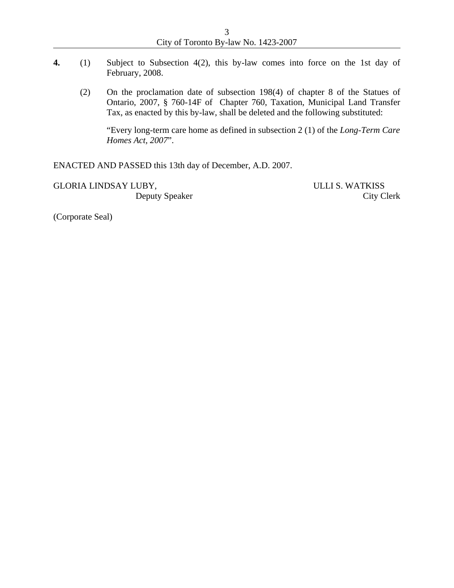| City of Toronto By-law No. 1423-2007 |  |
|--------------------------------------|--|

- **4.** (1) Subject to Subsection 4(2), this by-law comes into force on the 1st day of February, 2008.
	- (2) On the proclamation date of subsection 198(4) of chapter 8 of the Statues of Ontario, 2007, § 760-14F of Chapter 760, Taxation, Municipal Land Transfer Tax, as enacted by this by-law, shall be deleted and the following substituted:

"Every long-term care home as defined in subsection 2 (1) of the *Long-Term Care Homes Act, 2007*".

ENACTED AND PASSED this 13th day of December, A.D. 2007.

GLORIA LINDSAY LUBY, ULLI S. WATKISS

Deputy Speaker City Clerk

(Corporate Seal)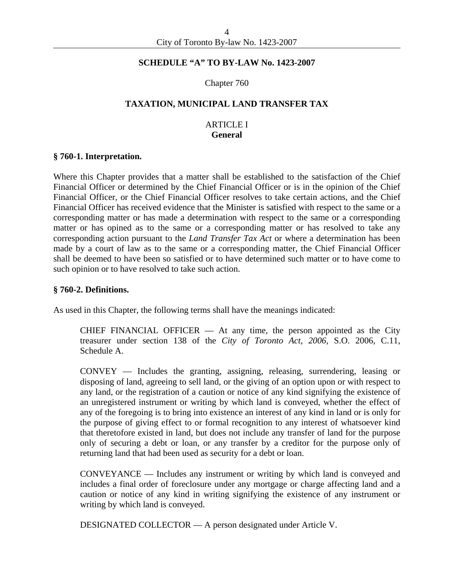#### **SCHEDULE "A" TO BY-LAW No. 1423-2007**

#### Chapter 760

#### **TAXATION, MUNICIPAL LAND TRANSFER TAX**

# ARTICLE I **General**

#### **§ 760-1. Interpretation.**

Where this Chapter provides that a matter shall be established to the satisfaction of the Chief Financial Officer or determined by the Chief Financial Officer or is in the opinion of the Chief Financial Officer, or the Chief Financial Officer resolves to take certain actions, and the Chief Financial Officer has received evidence that the Minister is satisfied with respect to the same or a corresponding matter or has made a determination with respect to the same or a corresponding matter or has opined as to the same or a corresponding matter or has resolved to take any corresponding action pursuant to the *Land Transfer Tax Act* or where a determination has been made by a court of law as to the same or a corresponding matter, the Chief Financial Officer shall be deemed to have been so satisfied or to have determined such matter or to have come to such opinion or to have resolved to take such action.

#### **§ 760-2. Definitions.**

As used in this Chapter, the following terms shall have the meanings indicated:

CHIEF FINANCIAL OFFICER  $-$  At any time, the person appointed as the City treasurer under section 138 of the *City of Toronto Act, 2006,* S.O. 2006, C.11, Schedule A.

CONVEY — Includes the granting, assigning, releasing, surrendering, leasing or disposing of land, agreeing to sell land, or the giving of an option upon or with respect to any land, or the registration of a caution or notice of any kind signifying the existence of an unregistered instrument or writing by which land is conveyed, whether the effect of any of the foregoing is to bring into existence an interest of any kind in land or is only for the purpose of giving effect to or formal recognition to any interest of whatsoever kind that theretofore existed in land, but does not include any transfer of land for the purpose only of securing a debt or loan, or any transfer by a creditor for the purpose only of returning land that had been used as security for a debt or loan.

CONVEYANCE — Includes any instrument or writing by which land is conveyed and includes a final order of foreclosure under any mortgage or charge affecting land and a caution or notice of any kind in writing signifying the existence of any instrument or writing by which land is conveyed.

DESIGNATED COLLECTOR — A person designated under Article V.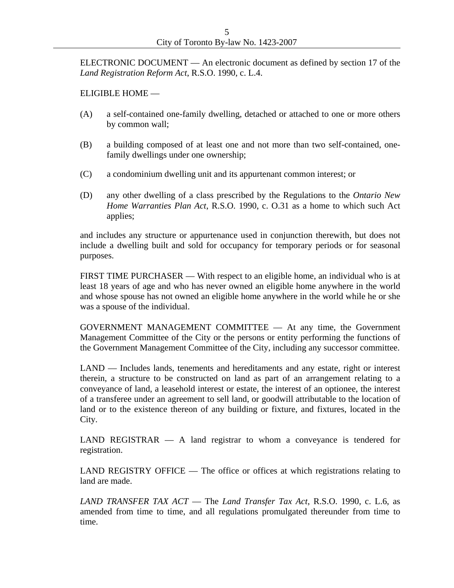ELECTRONIC DOCUMENT — An electronic document as defined by section 17 of the *Land Registration Reform Act*, R.S.O. 1990, c. L.4.

# ELIGIBLE HOME —

- (A) a self-contained one-family dwelling, detached or attached to one or more others by common wall;
- (B) a building composed of at least one and not more than two self-contained, onefamily dwellings under one ownership;
- (C) a condominium dwelling unit and its appurtenant common interest; or
- (D) any other dwelling of a class prescribed by the Regulations to the *Ontario New Home Warranties Plan Act*, R.S.O. 1990, c. O.31 as a home to which such Act applies;

and includes any structure or appurtenance used in conjunction therewith, but does not include a dwelling built and sold for occupancy for temporary periods or for seasonal purposes.

FIRST TIME PURCHASER — With respect to an eligible home, an individual who is at least 18 years of age and who has never owned an eligible home anywhere in the world and whose spouse has not owned an eligible home anywhere in the world while he or she was a spouse of the individual.

GOVERNMENT MANAGEMENT COMMITTEE — At any time, the Government Management Committee of the City or the persons or entity performing the functions of the Government Management Committee of the City, including any successor committee.

LAND — Includes lands, tenements and hereditaments and any estate, right or interest therein, a structure to be constructed on land as part of an arrangement relating to a conveyance of land, a leasehold interest or estate, the interest of an optionee, the interest of a transferee under an agreement to sell land, or goodwill attributable to the location of land or to the existence thereon of any building or fixture, and fixtures, located in the City.

LAND REGISTRAR — A land registrar to whom a conveyance is tendered for registration.

LAND REGISTRY OFFICE — The office or offices at which registrations relating to land are made.

*LAND TRANSFER TAX ACT* — The *Land Transfer Tax Act*, R.S.O. 1990, c. L.6, as amended from time to time, and all regulations promulgated thereunder from time to time.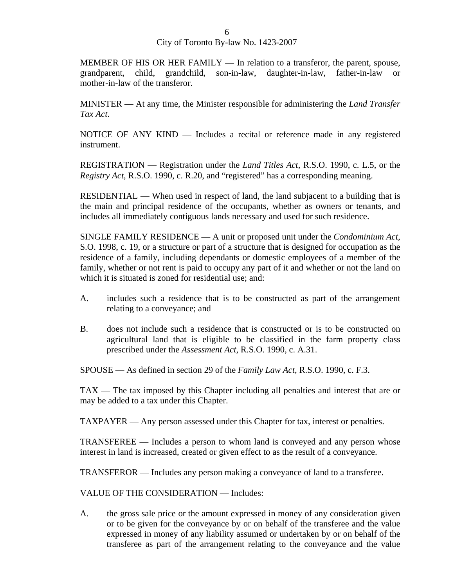MEMBER OF HIS OR HER FAMILY — In relation to a transferor, the parent, spouse, grandparent, child, grandchild, son-in-law, daughter-in-law, father-in-law or mother-in-law of the transferor.

MINISTER — At any time, the Minister responsible for administering the *Land Transfer Tax Act*.

NOTICE OF ANY KIND — Includes a recital or reference made in any registered instrument.

REGISTRATION — Registration under the *Land Titles Act*, R.S.O. 1990, c. L.5, or the *Registry Act*, R.S.O. 1990, c. R.20, and "registered" has a corresponding meaning.

RESIDENTIAL — When used in respect of land, the land subjacent to a building that is the main and principal residence of the occupants, whether as owners or tenants, and includes all immediately contiguous lands necessary and used for such residence.

SINGLE FAMILY RESIDENCE — A unit or proposed unit under the *Condominium Act*, S.O. 1998, c. 19, or a structure or part of a structure that is designed for occupation as the residence of a family, including dependants or domestic employees of a member of the family, whether or not rent is paid to occupy any part of it and whether or not the land on which it is situated is zoned for residential use; and:

- A. includes such a residence that is to be constructed as part of the arrangement relating to a conveyance; and
- B. does not include such a residence that is constructed or is to be constructed on agricultural land that is eligible to be classified in the farm property class prescribed under the *Assessment Act*, R.S.O. 1990, c. A.31.

SPOUSE — As defined in section 29 of the *Family Law Act*, R.S.O. 1990, c. F.3.

TAX — The tax imposed by this Chapter including all penalties and interest that are or may be added to a tax under this Chapter.

TAXPAYER — Any person assessed under this Chapter for tax, interest or penalties.

TRANSFEREE — Includes a person to whom land is conveyed and any person whose interest in land is increased, created or given effect to as the result of a conveyance.

TRANSFEROR — Includes any person making a conveyance of land to a transferee.

VALUE OF THE CONSIDERATION — Includes:

A. the gross sale price or the amount expressed in money of any consideration given or to be given for the conveyance by or on behalf of the transferee and the value expressed in money of any liability assumed or undertaken by or on behalf of the transferee as part of the arrangement relating to the conveyance and the value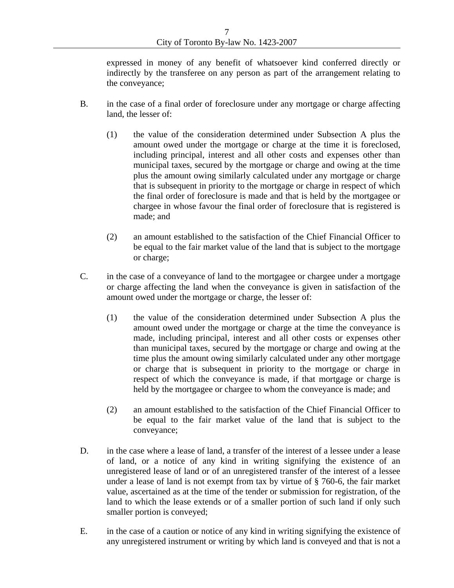expressed in money of any benefit of whatsoever kind conferred directly or indirectly by the transferee on any person as part of the arrangement relating to the conveyance;

- B. in the case of a final order of foreclosure under any mortgage or charge affecting land, the lesser of:
	- (1) the value of the consideration determined under Subsection A plus the amount owed under the mortgage or charge at the time it is foreclosed, including principal, interest and all other costs and expenses other than municipal taxes, secured by the mortgage or charge and owing at the time plus the amount owing similarly calculated under any mortgage or charge that is subsequent in priority to the mortgage or charge in respect of which the final order of foreclosure is made and that is held by the mortgagee or chargee in whose favour the final order of foreclosure that is registered is made; and
	- (2) an amount established to the satisfaction of the Chief Financial Officer to be equal to the fair market value of the land that is subject to the mortgage or charge;
- C. in the case of a conveyance of land to the mortgagee or chargee under a mortgage or charge affecting the land when the conveyance is given in satisfaction of the amount owed under the mortgage or charge, the lesser of:
	- (1) the value of the consideration determined under Subsection A plus the amount owed under the mortgage or charge at the time the conveyance is made, including principal, interest and all other costs or expenses other than municipal taxes, secured by the mortgage or charge and owing at the time plus the amount owing similarly calculated under any other mortgage or charge that is subsequent in priority to the mortgage or charge in respect of which the conveyance is made, if that mortgage or charge is held by the mortgagee or chargee to whom the conveyance is made; and
	- (2) an amount established to the satisfaction of the Chief Financial Officer to be equal to the fair market value of the land that is subject to the conveyance;
- D. in the case where a lease of land, a transfer of the interest of a lessee under a lease of land, or a notice of any kind in writing signifying the existence of an unregistered lease of land or of an unregistered transfer of the interest of a lessee under a lease of land is not exempt from tax by virtue of § 760-6, the fair market value, ascertained as at the time of the tender or submission for registration, of the land to which the lease extends or of a smaller portion of such land if only such smaller portion is conveyed;
- E. in the case of a caution or notice of any kind in writing signifying the existence of any unregistered instrument or writing by which land is conveyed and that is not a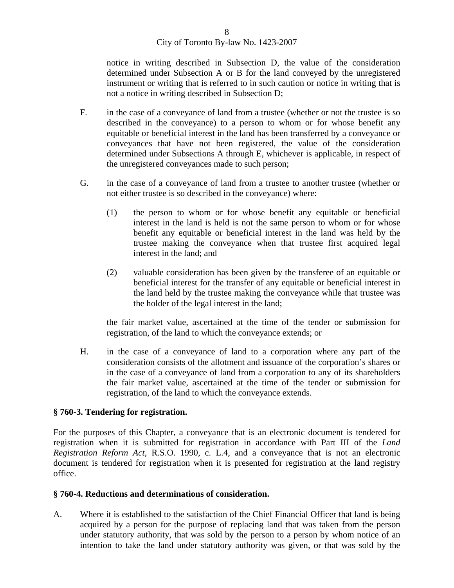notice in writing described in Subsection D, the value of the consideration determined under Subsection A or B for the land conveyed by the unregistered instrument or writing that is referred to in such caution or notice in writing that is not a notice in writing described in Subsection D;

- F. in the case of a conveyance of land from a trustee (whether or not the trustee is so described in the conveyance) to a person to whom or for whose benefit any equitable or beneficial interest in the land has been transferred by a conveyance or conveyances that have not been registered, the value of the consideration determined under Subsections A through E, whichever is applicable, in respect of the unregistered conveyances made to such person;
- G. in the case of a conveyance of land from a trustee to another trustee (whether or not either trustee is so described in the conveyance) where:
	- (1) the person to whom or for whose benefit any equitable or beneficial interest in the land is held is not the same person to whom or for whose benefit any equitable or beneficial interest in the land was held by the trustee making the conveyance when that trustee first acquired legal interest in the land; and
	- (2) valuable consideration has been given by the transferee of an equitable or beneficial interest for the transfer of any equitable or beneficial interest in the land held by the trustee making the conveyance while that trustee was the holder of the legal interest in the land;

the fair market value, ascertained at the time of the tender or submission for registration, of the land to which the conveyance extends; or

H. in the case of a conveyance of land to a corporation where any part of the consideration consists of the allotment and issuance of the corporation's shares or in the case of a conveyance of land from a corporation to any of its shareholders the fair market value, ascertained at the time of the tender or submission for registration, of the land to which the conveyance extends.

# **§ 760-3. Tendering for registration.**

For the purposes of this Chapter, a conveyance that is an electronic document is tendered for registration when it is submitted for registration in accordance with Part III of the *Land Registration Reform Act*, R.S.O. 1990, c. L.4, and a conveyance that is not an electronic document is tendered for registration when it is presented for registration at the land registry office.

#### **§ 760-4. Reductions and determinations of consideration.**

A. Where it is established to the satisfaction of the Chief Financial Officer that land is being acquired by a person for the purpose of replacing land that was taken from the person under statutory authority, that was sold by the person to a person by whom notice of an intention to take the land under statutory authority was given, or that was sold by the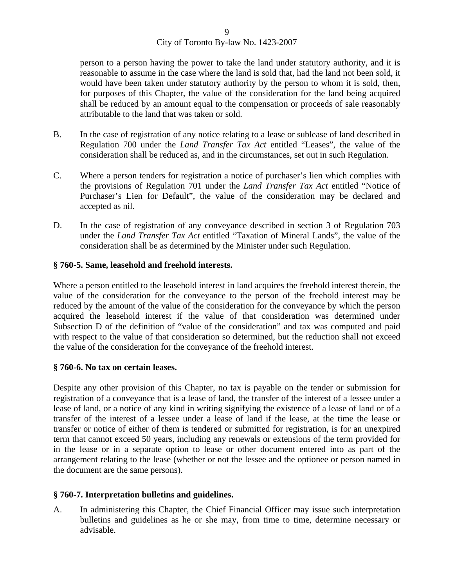person to a person having the power to take the land under statutory authority, and it is reasonable to assume in the case where the land is sold that, had the land not been sold, it would have been taken under statutory authority by the person to whom it is sold, then, for purposes of this Chapter, the value of the consideration for the land being acquired shall be reduced by an amount equal to the compensation or proceeds of sale reasonably attributable to the land that was taken or sold.

- B. In the case of registration of any notice relating to a lease or sublease of land described in Regulation 700 under the *Land Transfer Tax Act* entitled "Leases", the value of the consideration shall be reduced as, and in the circumstances, set out in such Regulation.
- C. Where a person tenders for registration a notice of purchaser's lien which complies with the provisions of Regulation 701 under the *Land Transfer Tax Act* entitled "Notice of Purchaser's Lien for Default", the value of the consideration may be declared and accepted as nil.
- D. In the case of registration of any conveyance described in section 3 of Regulation 703 under the *Land Transfer Tax Act* entitled "Taxation of Mineral Lands", the value of the consideration shall be as determined by the Minister under such Regulation.

# **§ 760-5. Same, leasehold and freehold interests.**

Where a person entitled to the leasehold interest in land acquires the freehold interest therein, the value of the consideration for the conveyance to the person of the freehold interest may be reduced by the amount of the value of the consideration for the conveyance by which the person acquired the leasehold interest if the value of that consideration was determined under Subsection D of the definition of "value of the consideration" and tax was computed and paid with respect to the value of that consideration so determined, but the reduction shall not exceed the value of the consideration for the conveyance of the freehold interest.

# **§ 760-6. No tax on certain leases.**

Despite any other provision of this Chapter, no tax is payable on the tender or submission for registration of a conveyance that is a lease of land, the transfer of the interest of a lessee under a lease of land, or a notice of any kind in writing signifying the existence of a lease of land or of a transfer of the interest of a lessee under a lease of land if the lease, at the time the lease or transfer or notice of either of them is tendered or submitted for registration, is for an unexpired term that cannot exceed 50 years, including any renewals or extensions of the term provided for in the lease or in a separate option to lease or other document entered into as part of the arrangement relating to the lease (whether or not the lessee and the optionee or person named in the document are the same persons).

# **§ 760-7. Interpretation bulletins and guidelines.**

A. In administering this Chapter, the Chief Financial Officer may issue such interpretation bulletins and guidelines as he or she may, from time to time, determine necessary or advisable.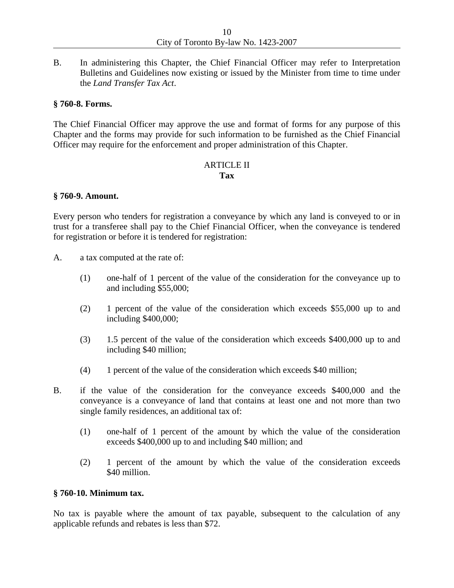B. In administering this Chapter, the Chief Financial Officer may refer to Interpretation Bulletins and Guidelines now existing or issued by the Minister from time to time under the *Land Transfer Tax Act*.

## **§ 760-8. Forms.**

The Chief Financial Officer may approve the use and format of forms for any purpose of this Chapter and the forms may provide for such information to be furnished as the Chief Financial Officer may require for the enforcement and proper administration of this Chapter.

## ARTICLE II **Tax**

## **§ 760-9. Amount.**

Every person who tenders for registration a conveyance by which any land is conveyed to or in trust for a transferee shall pay to the Chief Financial Officer, when the conveyance is tendered for registration or before it is tendered for registration:

- A. a tax computed at the rate of:
	- (1) one-half of 1 percent of the value of the consideration for the conveyance up to and including \$55,000;
	- (2) 1 percent of the value of the consideration which exceeds \$55,000 up to and including \$400,000;
	- (3) 1.5 percent of the value of the consideration which exceeds \$400,000 up to and including \$40 million;
	- (4) 1 percent of the value of the consideration which exceeds \$40 million;
- B. if the value of the consideration for the conveyance exceeds \$400,000 and the conveyance is a conveyance of land that contains at least one and not more than two single family residences, an additional tax of:
	- (1) one-half of 1 percent of the amount by which the value of the consideration exceeds \$400,000 up to and including \$40 million; and
	- (2) 1 percent of the amount by which the value of the consideration exceeds \$40 million.

#### **§ 760-10. Minimum tax.**

No tax is payable where the amount of tax payable, subsequent to the calculation of any applicable refunds and rebates is less than \$72.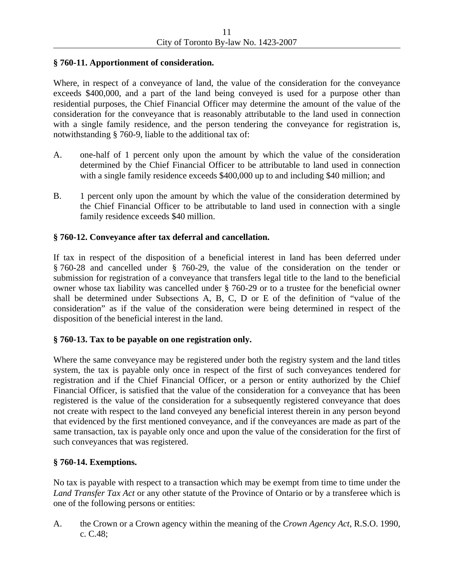# **§ 760-11. Apportionment of consideration.**

Where, in respect of a conveyance of land, the value of the consideration for the conveyance exceeds \$400,000, and a part of the land being conveyed is used for a purpose other than residential purposes, the Chief Financial Officer may determine the amount of the value of the consideration for the conveyance that is reasonably attributable to the land used in connection with a single family residence, and the person tendering the conveyance for registration is, notwithstanding § 760-9, liable to the additional tax of:

- A. one-half of 1 percent only upon the amount by which the value of the consideration determined by the Chief Financial Officer to be attributable to land used in connection with a single family residence exceeds \$400,000 up to and including \$40 million; and
- B. 1 percent only upon the amount by which the value of the consideration determined by the Chief Financial Officer to be attributable to land used in connection with a single family residence exceeds \$40 million.

# **§ 760-12. Conveyance after tax deferral and cancellation.**

If tax in respect of the disposition of a beneficial interest in land has been deferred under § 760-28 and cancelled under § 760-29, the value of the consideration on the tender or submission for registration of a conveyance that transfers legal title to the land to the beneficial owner whose tax liability was cancelled under § 760-29 or to a trustee for the beneficial owner shall be determined under Subsections A, B, C, D or E of the definition of "value of the consideration" as if the value of the consideration were being determined in respect of the disposition of the beneficial interest in the land.

# **§ 760-13. Tax to be payable on one registration only.**

Where the same conveyance may be registered under both the registry system and the land titles system, the tax is payable only once in respect of the first of such conveyances tendered for registration and if the Chief Financial Officer, or a person or entity authorized by the Chief Financial Officer, is satisfied that the value of the consideration for a conveyance that has been registered is the value of the consideration for a subsequently registered conveyance that does not create with respect to the land conveyed any beneficial interest therein in any person beyond that evidenced by the first mentioned conveyance, and if the conveyances are made as part of the same transaction, tax is payable only once and upon the value of the consideration for the first of such conveyances that was registered.

# **§ 760-14. Exemptions.**

No tax is payable with respect to a transaction which may be exempt from time to time under the *Land Transfer Tax Act* or any other statute of the Province of Ontario or by a transferee which is one of the following persons or entities:

A. the Crown or a Crown agency within the meaning of the *Crown Agency Act*, R.S.O. 1990, c. C.48;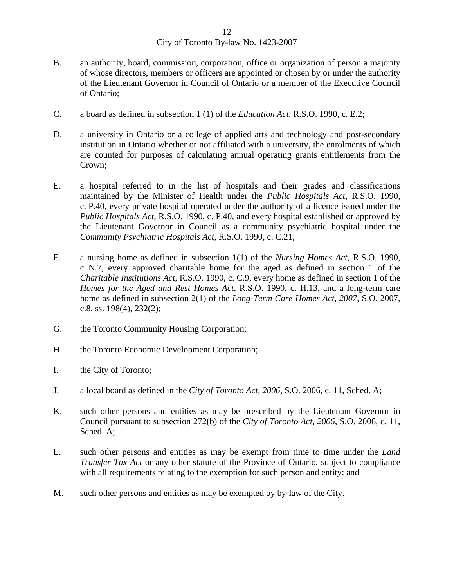- B. an authority, board, commission, corporation, office or organization of person a majority of whose directors, members or officers are appointed or chosen by or under the authority of the Lieutenant Governor in Council of Ontario or a member of the Executive Council of Ontario;
- C. a board as defined in subsection 1 (1) of the *Education Act*, R.S.O. 1990, c. E.2;
- D. a university in Ontario or a college of applied arts and technology and post-secondary institution in Ontario whether or not affiliated with a university, the enrolments of which are counted for purposes of calculating annual operating grants entitlements from the Crown;
- E. a hospital referred to in the list of hospitals and their grades and classifications maintained by the Minister of Health under the *Public Hospitals Act*, R.S.O. 1990, c. P.40, every private hospital operated under the authority of a licence issued under the *Public Hospitals Act*, R.S.O. 1990, c. P.40, and every hospital established or approved by the Lieutenant Governor in Council as a community psychiatric hospital under the *Community Psychiatric Hospitals Act*, R.S.O. 1990, c. C.21;
- F. a nursing home as defined in subsection 1(1) of the *Nursing Homes Act*, R.S.O. 1990, c. N.7, every approved charitable home for the aged as defined in section 1 of the *Charitable Institutions Act*, R.S.O. 1990, c. C.9, every home as defined in section 1 of the *Homes for the Aged and Rest Homes Act*, R.S.O. 1990, c. H.13, and a long-term care home as defined in subsection 2(1) of the *Long-Term Care Homes Act, 2007*, S.O. 2007, c.8, ss. 198(4), 232(2);
- G. the Toronto Community Housing Corporation;
- H. the Toronto Economic Development Corporation;
- I. the City of Toronto;
- J. a local board as defined in the *City of Toronto Act, 2006*, S.O. 2006, c. 11, Sched. A;
- K. such other persons and entities as may be prescribed by the Lieutenant Governor in Council pursuant to subsection 272(b) of the *City of Toronto Act, 2006*, S.O. 2006, c. 11, Sched. A;
- L. such other persons and entities as may be exempt from time to time under the *Land Transfer Tax Act* or any other statute of the Province of Ontario, subject to compliance with all requirements relating to the exemption for such person and entity; and
- M. such other persons and entities as may be exempted by by-law of the City.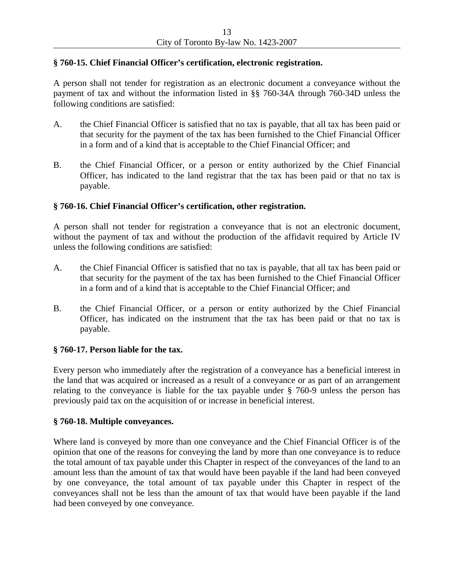## **§ 760-15. Chief Financial Officer's certification, electronic registration.**

A person shall not tender for registration as an electronic document a conveyance without the payment of tax and without the information listed in §§ 760-34A through 760-34D unless the following conditions are satisfied:

- A. the Chief Financial Officer is satisfied that no tax is payable, that all tax has been paid or that security for the payment of the tax has been furnished to the Chief Financial Officer in a form and of a kind that is acceptable to the Chief Financial Officer; and
- B. the Chief Financial Officer, or a person or entity authorized by the Chief Financial Officer, has indicated to the land registrar that the tax has been paid or that no tax is payable.

## **§ 760-16. Chief Financial Officer's certification, other registration.**

A person shall not tender for registration a conveyance that is not an electronic document, without the payment of tax and without the production of the affidavit required by Article IV unless the following conditions are satisfied:

- A. the Chief Financial Officer is satisfied that no tax is payable, that all tax has been paid or that security for the payment of the tax has been furnished to the Chief Financial Officer in a form and of a kind that is acceptable to the Chief Financial Officer; and
- B. the Chief Financial Officer, or a person or entity authorized by the Chief Financial Officer, has indicated on the instrument that the tax has been paid or that no tax is payable.

#### **§ 760-17. Person liable for the tax.**

Every person who immediately after the registration of a conveyance has a beneficial interest in the land that was acquired or increased as a result of a conveyance or as part of an arrangement relating to the conveyance is liable for the tax payable under § 760-9 unless the person has previously paid tax on the acquisition of or increase in beneficial interest.

#### **§ 760-18. Multiple conveyances.**

Where land is conveyed by more than one conveyance and the Chief Financial Officer is of the opinion that one of the reasons for conveying the land by more than one conveyance is to reduce the total amount of tax payable under this Chapter in respect of the conveyances of the land to an amount less than the amount of tax that would have been payable if the land had been conveyed by one conveyance, the total amount of tax payable under this Chapter in respect of the conveyances shall not be less than the amount of tax that would have been payable if the land had been conveyed by one conveyance.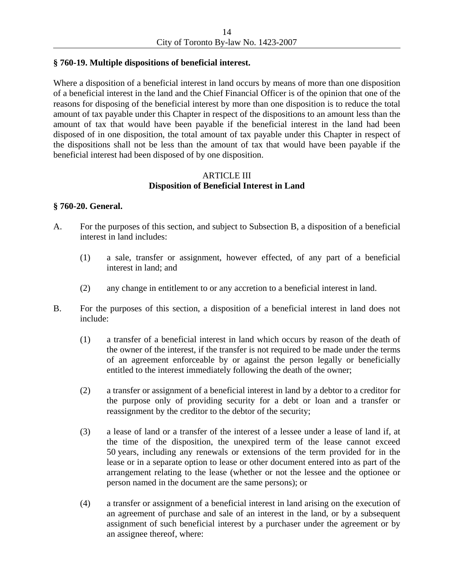# **§ 760-19. Multiple dispositions of beneficial interest.**

Where a disposition of a beneficial interest in land occurs by means of more than one disposition of a beneficial interest in the land and the Chief Financial Officer is of the opinion that one of the reasons for disposing of the beneficial interest by more than one disposition is to reduce the total amount of tax payable under this Chapter in respect of the dispositions to an amount less than the amount of tax that would have been payable if the beneficial interest in the land had been disposed of in one disposition, the total amount of tax payable under this Chapter in respect of the dispositions shall not be less than the amount of tax that would have been payable if the beneficial interest had been disposed of by one disposition.

# ARTICLE III **Disposition of Beneficial Interest in Land**

# **§ 760-20. General.**

- A. For the purposes of this section, and subject to Subsection B, a disposition of a beneficial interest in land includes:
	- (1) a sale, transfer or assignment, however effected, of any part of a beneficial interest in land; and
	- (2) any change in entitlement to or any accretion to a beneficial interest in land.
- B. For the purposes of this section, a disposition of a beneficial interest in land does not include:
	- (1) a transfer of a beneficial interest in land which occurs by reason of the death of the owner of the interest, if the transfer is not required to be made under the terms of an agreement enforceable by or against the person legally or beneficially entitled to the interest immediately following the death of the owner;
	- (2) a transfer or assignment of a beneficial interest in land by a debtor to a creditor for the purpose only of providing security for a debt or loan and a transfer or reassignment by the creditor to the debtor of the security;
	- (3) a lease of land or a transfer of the interest of a lessee under a lease of land if, at the time of the disposition, the unexpired term of the lease cannot exceed 50 years, including any renewals or extensions of the term provided for in the lease or in a separate option to lease or other document entered into as part of the arrangement relating to the lease (whether or not the lessee and the optionee or person named in the document are the same persons); or
	- (4) a transfer or assignment of a beneficial interest in land arising on the execution of an agreement of purchase and sale of an interest in the land, or by a subsequent assignment of such beneficial interest by a purchaser under the agreement or by an assignee thereof, where: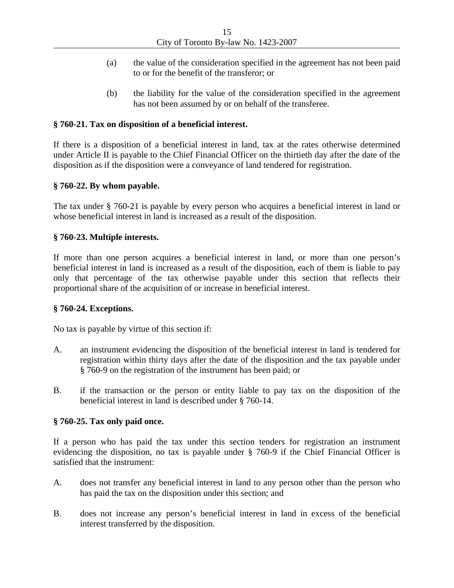- (a) the value of the consideration specified in the agreement has not been paid to or for the benefit of the transferor; or
- (b) the liability for the value of the consideration specified in the agreement has not been assumed by or on behalf of the transferee.

# **§ 760-21. Tax on disposition of a beneficial interest.**

If there is a disposition of a beneficial interest in land, tax at the rates otherwise determined under Article II is payable to the Chief Financial Officer on the thirtieth day after the date of the disposition as if the disposition were a conveyance of land tendered for registration.

## **§ 760-22. By whom payable.**

The tax under § 760-21 is payable by every person who acquires a beneficial interest in land or whose beneficial interest in land is increased as a result of the disposition.

## **§ 760-23. Multiple interests.**

If more than one person acquires a beneficial interest in land, or more than one person's beneficial interest in land is increased as a result of the disposition, each of them is liable to pay only that percentage of the tax otherwise payable under this section that reflects their proportional share of the acquisition of or increase in beneficial interest.

#### **§ 760-24. Exceptions.**

No tax is payable by virtue of this section if:

- A. an instrument evidencing the disposition of the beneficial interest in land is tendered for registration within thirty days after the date of the disposition and the tax payable under § 760-9 on the registration of the instrument has been paid; or
- B. if the transaction or the person or entity liable to pay tax on the disposition of the beneficial interest in land is described under § 760-14.

#### **§ 760-25. Tax only paid once.**

If a person who has paid the tax under this section tenders for registration an instrument evidencing the disposition, no tax is payable under § 760-9 if the Chief Financial Officer is satisfied that the instrument:

- A. does not transfer any beneficial interest in land to any person other than the person who has paid the tax on the disposition under this section; and
- B. does not increase any person's beneficial interest in land in excess of the beneficial interest transferred by the disposition.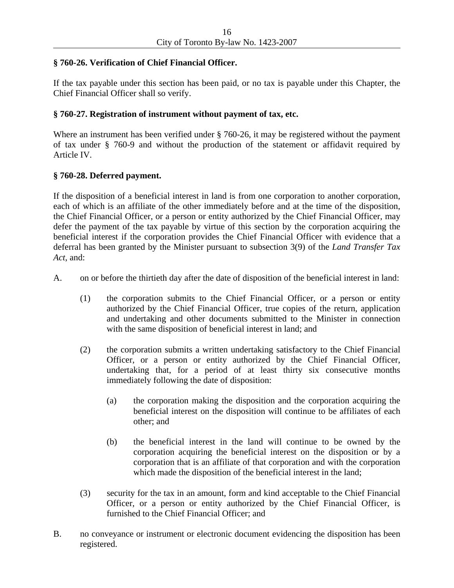# **§ 760-26. Verification of Chief Financial Officer.**

If the tax payable under this section has been paid, or no tax is payable under this Chapter, the Chief Financial Officer shall so verify.

# **§ 760-27. Registration of instrument without payment of tax, etc.**

Where an instrument has been verified under § 760-26, it may be registered without the payment of tax under § 760-9 and without the production of the statement or affidavit required by Article IV.

# **§ 760-28. Deferred payment.**

If the disposition of a beneficial interest in land is from one corporation to another corporation, each of which is an affiliate of the other immediately before and at the time of the disposition, the Chief Financial Officer, or a person or entity authorized by the Chief Financial Officer, may defer the payment of the tax payable by virtue of this section by the corporation acquiring the beneficial interest if the corporation provides the Chief Financial Officer with evidence that a deferral has been granted by the Minister pursuant to subsection 3(9) of the *Land Transfer Tax Act*, and:

- A. on or before the thirtieth day after the date of disposition of the beneficial interest in land:
	- (1) the corporation submits to the Chief Financial Officer, or a person or entity authorized by the Chief Financial Officer, true copies of the return, application and undertaking and other documents submitted to the Minister in connection with the same disposition of beneficial interest in land; and
	- (2) the corporation submits a written undertaking satisfactory to the Chief Financial Officer, or a person or entity authorized by the Chief Financial Officer, undertaking that, for a period of at least thirty six consecutive months immediately following the date of disposition:
		- (a) the corporation making the disposition and the corporation acquiring the beneficial interest on the disposition will continue to be affiliates of each other; and
		- (b) the beneficial interest in the land will continue to be owned by the corporation acquiring the beneficial interest on the disposition or by a corporation that is an affiliate of that corporation and with the corporation which made the disposition of the beneficial interest in the land;
	- (3) security for the tax in an amount, form and kind acceptable to the Chief Financial Officer, or a person or entity authorized by the Chief Financial Officer, is furnished to the Chief Financial Officer; and
- B. no conveyance or instrument or electronic document evidencing the disposition has been registered.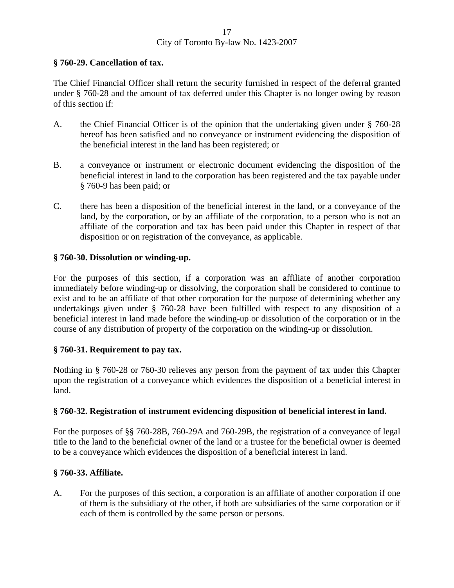# **§ 760-29. Cancellation of tax.**

The Chief Financial Officer shall return the security furnished in respect of the deferral granted under § 760-28 and the amount of tax deferred under this Chapter is no longer owing by reason of this section if:

- A. the Chief Financial Officer is of the opinion that the undertaking given under § 760-28 hereof has been satisfied and no conveyance or instrument evidencing the disposition of the beneficial interest in the land has been registered; or
- B. a conveyance or instrument or electronic document evidencing the disposition of the beneficial interest in land to the corporation has been registered and the tax payable under § 760-9 has been paid; or
- C. there has been a disposition of the beneficial interest in the land, or a conveyance of the land, by the corporation, or by an affiliate of the corporation, to a person who is not an affiliate of the corporation and tax has been paid under this Chapter in respect of that disposition or on registration of the conveyance, as applicable.

# **§ 760-30. Dissolution or winding-up.**

For the purposes of this section, if a corporation was an affiliate of another corporation immediately before winding-up or dissolving, the corporation shall be considered to continue to exist and to be an affiliate of that other corporation for the purpose of determining whether any undertakings given under § 760-28 have been fulfilled with respect to any disposition of a beneficial interest in land made before the winding-up or dissolution of the corporation or in the course of any distribution of property of the corporation on the winding-up or dissolution.

# **§ 760-31. Requirement to pay tax.**

Nothing in § 760-28 or 760-30 relieves any person from the payment of tax under this Chapter upon the registration of a conveyance which evidences the disposition of a beneficial interest in land.

# **§ 760-32. Registration of instrument evidencing disposition of beneficial interest in land.**

For the purposes of §§ 760-28B, 760-29A and 760-29B, the registration of a conveyance of legal title to the land to the beneficial owner of the land or a trustee for the beneficial owner is deemed to be a conveyance which evidences the disposition of a beneficial interest in land.

# **§ 760-33. Affiliate.**

A. For the purposes of this section, a corporation is an affiliate of another corporation if one of them is the subsidiary of the other, if both are subsidiaries of the same corporation or if each of them is controlled by the same person or persons.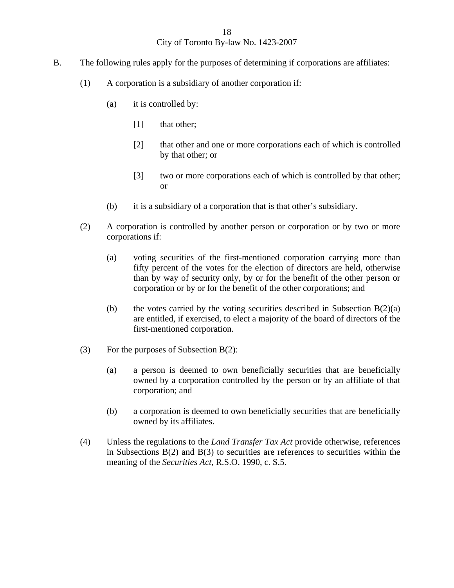- B. The following rules apply for the purposes of determining if corporations are affiliates:
	- (1) A corporation is a subsidiary of another corporation if:
		- (a) it is controlled by:
			- [1] that other;
			- [2] that other and one or more corporations each of which is controlled by that other; or
			- [3] two or more corporations each of which is controlled by that other; or
		- (b) it is a subsidiary of a corporation that is that other's subsidiary.
	- (2) A corporation is controlled by another person or corporation or by two or more corporations if:
		- (a) voting securities of the first-mentioned corporation carrying more than fifty percent of the votes for the election of directors are held, otherwise than by way of security only, by or for the benefit of the other person or corporation or by or for the benefit of the other corporations; and
		- (b) the votes carried by the voting securities described in Subsection  $B(2)(a)$ are entitled, if exercised, to elect a majority of the board of directors of the first-mentioned corporation.
	- (3) For the purposes of Subsection B(2):
		- (a) a person is deemed to own beneficially securities that are beneficially owned by a corporation controlled by the person or by an affiliate of that corporation; and
		- (b) a corporation is deemed to own beneficially securities that are beneficially owned by its affiliates.
	- (4) Unless the regulations to the *Land Transfer Tax Act* provide otherwise, references in Subsections  $B(2)$  and  $B(3)$  to securities are references to securities within the meaning of the *Securities Act*, R.S.O. 1990, c. S.5.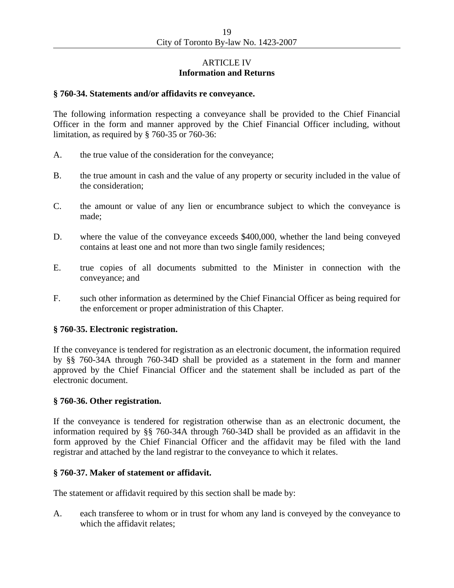## ARTICLE IV **Information and Returns**

## **§ 760-34. Statements and/or affidavits re conveyance.**

The following information respecting a conveyance shall be provided to the Chief Financial Officer in the form and manner approved by the Chief Financial Officer including, without limitation, as required by § 760-35 or 760-36:

- A. the true value of the consideration for the conveyance;
- B. the true amount in cash and the value of any property or security included in the value of the consideration;
- C. the amount or value of any lien or encumbrance subject to which the conveyance is made;
- D. where the value of the conveyance exceeds \$400,000, whether the land being conveyed contains at least one and not more than two single family residences;
- E. true copies of all documents submitted to the Minister in connection with the conveyance; and
- F. such other information as determined by the Chief Financial Officer as being required for the enforcement or proper administration of this Chapter.

#### **§ 760-35. Electronic registration.**

If the conveyance is tendered for registration as an electronic document, the information required by §§ 760-34A through 760-34D shall be provided as a statement in the form and manner approved by the Chief Financial Officer and the statement shall be included as part of the electronic document.

#### **§ 760-36. Other registration.**

If the conveyance is tendered for registration otherwise than as an electronic document, the information required by §§ 760-34A through 760-34D shall be provided as an affidavit in the form approved by the Chief Financial Officer and the affidavit may be filed with the land registrar and attached by the land registrar to the conveyance to which it relates.

#### **§ 760-37. Maker of statement or affidavit.**

The statement or affidavit required by this section shall be made by:

A. each transferee to whom or in trust for whom any land is conveyed by the conveyance to which the affidavit relates;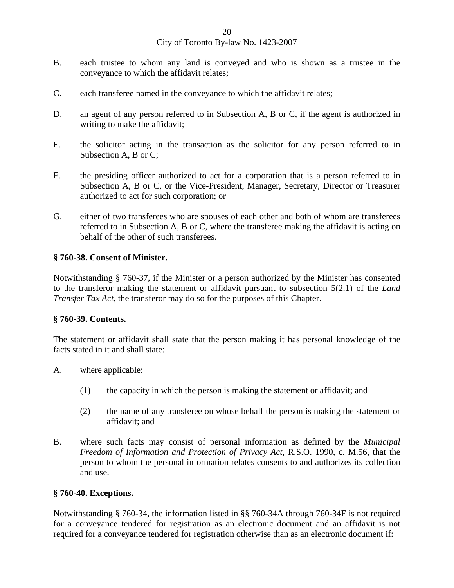- B. each trustee to whom any land is conveyed and who is shown as a trustee in the conveyance to which the affidavit relates;
- C. each transferee named in the conveyance to which the affidavit relates;
- D. an agent of any person referred to in Subsection A, B or C, if the agent is authorized in writing to make the affidavit;
- E. the solicitor acting in the transaction as the solicitor for any person referred to in Subsection A, B or C;
- F. the presiding officer authorized to act for a corporation that is a person referred to in Subsection A, B or C, or the Vice-President, Manager, Secretary, Director or Treasurer authorized to act for such corporation; or
- G. either of two transferees who are spouses of each other and both of whom are transferees referred to in Subsection A, B or C, where the transferee making the affidavit is acting on behalf of the other of such transferees.

#### **§ 760-38. Consent of Minister.**

Notwithstanding § 760-37, if the Minister or a person authorized by the Minister has consented to the transferor making the statement or affidavit pursuant to subsection 5(2.1) of the *Land Transfer Tax Act*, the transferor may do so for the purposes of this Chapter.

## **§ 760-39. Contents.**

The statement or affidavit shall state that the person making it has personal knowledge of the facts stated in it and shall state:

- A. where applicable:
	- (1) the capacity in which the person is making the statement or affidavit; and
	- (2) the name of any transferee on whose behalf the person is making the statement or affidavit; and
- B. where such facts may consist of personal information as defined by the *Municipal Freedom of Information and Protection of Privacy Act*, R.S.O. 1990, c. M.56, that the person to whom the personal information relates consents to and authorizes its collection and use.

#### **§ 760-40. Exceptions.**

Notwithstanding § 760-34, the information listed in §§ 760-34A through 760-34F is not required for a conveyance tendered for registration as an electronic document and an affidavit is not required for a conveyance tendered for registration otherwise than as an electronic document if: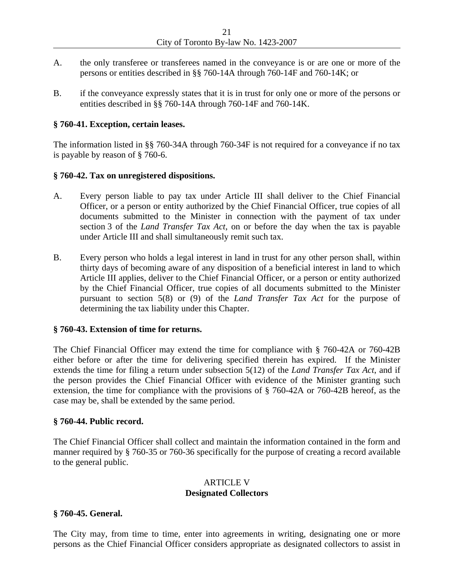- A. the only transferee or transferees named in the conveyance is or are one or more of the persons or entities described in §§ 760-14A through 760-14F and 760-14K; or
- B. if the conveyance expressly states that it is in trust for only one or more of the persons or entities described in §§ 760-14A through 760-14F and 760-14K.

## **§ 760-41. Exception, certain leases.**

The information listed in §§ 760-34A through 760-34F is not required for a conveyance if no tax is payable by reason of § 760-6.

## **§ 760-42. Tax on unregistered dispositions.**

- A. Every person liable to pay tax under Article III shall deliver to the Chief Financial Officer, or a person or entity authorized by the Chief Financial Officer, true copies of all documents submitted to the Minister in connection with the payment of tax under section 3 of the *Land Transfer Tax Act*, on or before the day when the tax is payable under Article III and shall simultaneously remit such tax.
- B. Every person who holds a legal interest in land in trust for any other person shall, within thirty days of becoming aware of any disposition of a beneficial interest in land to which Article III applies, deliver to the Chief Financial Officer, or a person or entity authorized by the Chief Financial Officer, true copies of all documents submitted to the Minister pursuant to section 5(8) or (9) of the *Land Transfer Tax Act* for the purpose of determining the tax liability under this Chapter.

# **§ 760-43. Extension of time for returns.**

The Chief Financial Officer may extend the time for compliance with § 760-42A or 760-42B either before or after the time for delivering specified therein has expired. If the Minister extends the time for filing a return under subsection 5(12) of the *Land Transfer Tax Act*, and if the person provides the Chief Financial Officer with evidence of the Minister granting such extension, the time for compliance with the provisions of § 760-42A or 760-42B hereof, as the case may be, shall be extended by the same period.

#### **§ 760-44. Public record.**

The Chief Financial Officer shall collect and maintain the information contained in the form and manner required by § 760-35 or 760-36 specifically for the purpose of creating a record available to the general public.

# ARTICLE V **Designated Collectors**

#### **§ 760-45. General.**

The City may, from time to time, enter into agreements in writing, designating one or more persons as the Chief Financial Officer considers appropriate as designated collectors to assist in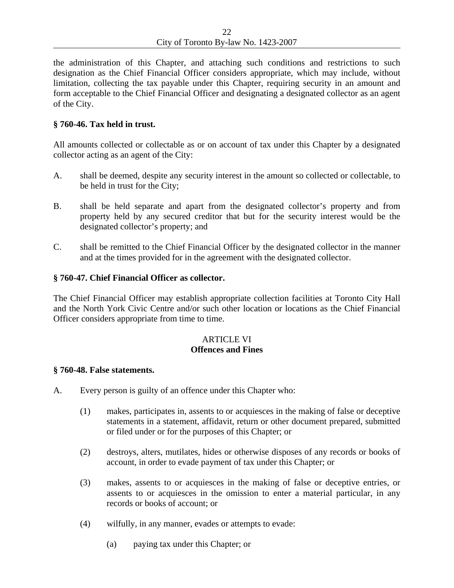the administration of this Chapter, and attaching such conditions and restrictions to such designation as the Chief Financial Officer considers appropriate, which may include, without limitation, collecting the tax payable under this Chapter, requiring security in an amount and form acceptable to the Chief Financial Officer and designating a designated collector as an agent of the City.

## **§ 760-46. Tax held in trust.**

All amounts collected or collectable as or on account of tax under this Chapter by a designated collector acting as an agent of the City:

- A. shall be deemed, despite any security interest in the amount so collected or collectable, to be held in trust for the City;
- B. shall be held separate and apart from the designated collector's property and from property held by any secured creditor that but for the security interest would be the designated collector's property; and
- C. shall be remitted to the Chief Financial Officer by the designated collector in the manner and at the times provided for in the agreement with the designated collector.

# **§ 760-47. Chief Financial Officer as collector.**

The Chief Financial Officer may establish appropriate collection facilities at Toronto City Hall and the North York Civic Centre and/or such other location or locations as the Chief Financial Officer considers appropriate from time to time.

# ARTICLE VI **Offences and Fines**

#### **§ 760-48. False statements.**

- A. Every person is guilty of an offence under this Chapter who:
	- (1) makes, participates in, assents to or acquiesces in the making of false or deceptive statements in a statement, affidavit, return or other document prepared, submitted or filed under or for the purposes of this Chapter; or
	- (2) destroys, alters, mutilates, hides or otherwise disposes of any records or books of account, in order to evade payment of tax under this Chapter; or
	- (3) makes, assents to or acquiesces in the making of false or deceptive entries, or assents to or acquiesces in the omission to enter a material particular, in any records or books of account; or
	- (4) wilfully, in any manner, evades or attempts to evade:
		- (a) paying tax under this Chapter; or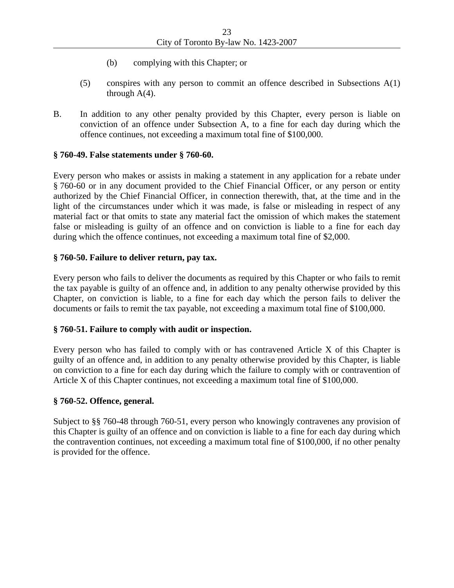- (b) complying with this Chapter; or
- (5) conspires with any person to commit an offence described in Subsections A(1) through  $A(4)$ .
- B. In addition to any other penalty provided by this Chapter, every person is liable on conviction of an offence under Subsection A, to a fine for each day during which the offence continues, not exceeding a maximum total fine of \$100,000.

# **§ 760-49. False statements under § 760-60.**

Every person who makes or assists in making a statement in any application for a rebate under § 760-60 or in any document provided to the Chief Financial Officer, or any person or entity authorized by the Chief Financial Officer, in connection therewith, that, at the time and in the light of the circumstances under which it was made, is false or misleading in respect of any material fact or that omits to state any material fact the omission of which makes the statement false or misleading is guilty of an offence and on conviction is liable to a fine for each day during which the offence continues, not exceeding a maximum total fine of \$2,000.

# **§ 760-50. Failure to deliver return, pay tax.**

Every person who fails to deliver the documents as required by this Chapter or who fails to remit the tax payable is guilty of an offence and, in addition to any penalty otherwise provided by this Chapter, on conviction is liable, to a fine for each day which the person fails to deliver the documents or fails to remit the tax payable, not exceeding a maximum total fine of \$100,000.

# **§ 760-51. Failure to comply with audit or inspection.**

Every person who has failed to comply with or has contravened Article X of this Chapter is guilty of an offence and, in addition to any penalty otherwise provided by this Chapter, is liable on conviction to a fine for each day during which the failure to comply with or contravention of Article X of this Chapter continues, not exceeding a maximum total fine of \$100,000.

# **§ 760-52. Offence, general.**

Subject to §§ 760-48 through 760-51, every person who knowingly contravenes any provision of this Chapter is guilty of an offence and on conviction is liable to a fine for each day during which the contravention continues, not exceeding a maximum total fine of \$100,000, if no other penalty is provided for the offence.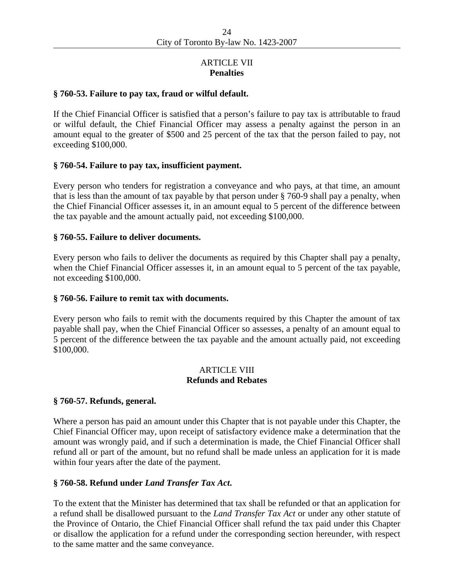# ARTICLE VII **Penalties**

### **§ 760-53. Failure to pay tax, fraud or wilful default.**

If the Chief Financial Officer is satisfied that a person's failure to pay tax is attributable to fraud or wilful default, the Chief Financial Officer may assess a penalty against the person in an amount equal to the greater of \$500 and 25 percent of the tax that the person failed to pay, not exceeding \$100,000.

## **§ 760-54. Failure to pay tax, insufficient payment.**

Every person who tenders for registration a conveyance and who pays, at that time, an amount that is less than the amount of tax payable by that person under § 760-9 shall pay a penalty, when the Chief Financial Officer assesses it, in an amount equal to 5 percent of the difference between the tax payable and the amount actually paid, not exceeding \$100,000.

## **§ 760-55. Failure to deliver documents.**

Every person who fails to deliver the documents as required by this Chapter shall pay a penalty, when the Chief Financial Officer assesses it, in an amount equal to 5 percent of the tax payable, not exceeding \$100,000.

### **§ 760-56. Failure to remit tax with documents.**

Every person who fails to remit with the documents required by this Chapter the amount of tax payable shall pay, when the Chief Financial Officer so assesses, a penalty of an amount equal to 5 percent of the difference between the tax payable and the amount actually paid, not exceeding \$100,000.

#### ARTICLE VIII **Refunds and Rebates**

#### **§ 760-57. Refunds, general.**

Where a person has paid an amount under this Chapter that is not payable under this Chapter, the Chief Financial Officer may, upon receipt of satisfactory evidence make a determination that the amount was wrongly paid, and if such a determination is made, the Chief Financial Officer shall refund all or part of the amount, but no refund shall be made unless an application for it is made within four years after the date of the payment.

# **§ 760-58. Refund under** *Land Transfer Tax Act***.**

To the extent that the Minister has determined that tax shall be refunded or that an application for a refund shall be disallowed pursuant to the *Land Transfer Tax Act* or under any other statute of the Province of Ontario, the Chief Financial Officer shall refund the tax paid under this Chapter or disallow the application for a refund under the corresponding section hereunder, with respect to the same matter and the same conveyance.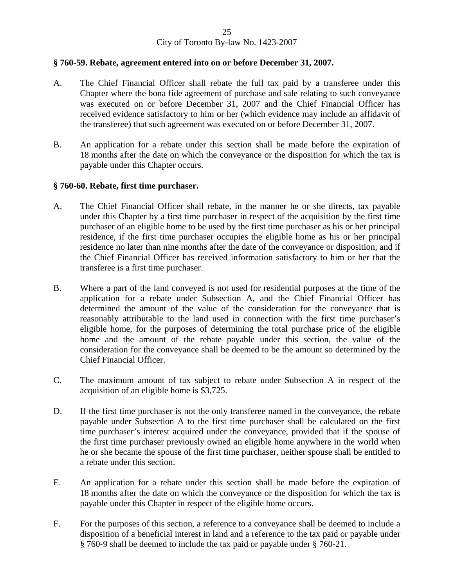## **§ 760-59. Rebate, agreement entered into on or before December 31, 2007.**

- A. The Chief Financial Officer shall rebate the full tax paid by a transferee under this Chapter where the bona fide agreement of purchase and sale relating to such conveyance was executed on or before December 31, 2007 and the Chief Financial Officer has received evidence satisfactory to him or her (which evidence may include an affidavit of the transferee) that such agreement was executed on or before December 31, 2007.
- B. An application for a rebate under this section shall be made before the expiration of 18 months after the date on which the conveyance or the disposition for which the tax is payable under this Chapter occurs.

## **§ 760-60. Rebate, first time purchaser.**

- A. The Chief Financial Officer shall rebate, in the manner he or she directs, tax payable under this Chapter by a first time purchaser in respect of the acquisition by the first time purchaser of an eligible home to be used by the first time purchaser as his or her principal residence, if the first time purchaser occupies the eligible home as his or her principal residence no later than nine months after the date of the conveyance or disposition, and if the Chief Financial Officer has received information satisfactory to him or her that the transferee is a first time purchaser.
- B. Where a part of the land conveyed is not used for residential purposes at the time of the application for a rebate under Subsection A, and the Chief Financial Officer has determined the amount of the value of the consideration for the conveyance that is reasonably attributable to the land used in connection with the first time purchaser's eligible home, for the purposes of determining the total purchase price of the eligible home and the amount of the rebate payable under this section, the value of the consideration for the conveyance shall be deemed to be the amount so determined by the Chief Financial Officer.
- C. The maximum amount of tax subject to rebate under Subsection A in respect of the acquisition of an eligible home is \$3,725.
- D. If the first time purchaser is not the only transferee named in the conveyance, the rebate payable under Subsection A to the first time purchaser shall be calculated on the first time purchaser's interest acquired under the conveyance, provided that if the spouse of the first time purchaser previously owned an eligible home anywhere in the world when he or she became the spouse of the first time purchaser, neither spouse shall be entitled to a rebate under this section.
- E. An application for a rebate under this section shall be made before the expiration of 18 months after the date on which the conveyance or the disposition for which the tax is payable under this Chapter in respect of the eligible home occurs.
- F. For the purposes of this section, a reference to a conveyance shall be deemed to include a disposition of a beneficial interest in land and a reference to the tax paid or payable under § 760-9 shall be deemed to include the tax paid or payable under § 760-21.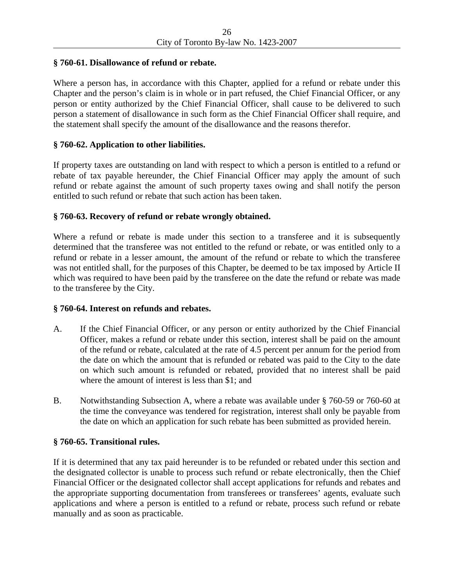# **§ 760-61. Disallowance of refund or rebate.**

Where a person has, in accordance with this Chapter, applied for a refund or rebate under this Chapter and the person's claim is in whole or in part refused, the Chief Financial Officer, or any person or entity authorized by the Chief Financial Officer, shall cause to be delivered to such person a statement of disallowance in such form as the Chief Financial Officer shall require, and the statement shall specify the amount of the disallowance and the reasons therefor.

# **§ 760-62. Application to other liabilities.**

If property taxes are outstanding on land with respect to which a person is entitled to a refund or rebate of tax payable hereunder, the Chief Financial Officer may apply the amount of such refund or rebate against the amount of such property taxes owing and shall notify the person entitled to such refund or rebate that such action has been taken.

## **§ 760-63. Recovery of refund or rebate wrongly obtained.**

Where a refund or rebate is made under this section to a transferee and it is subsequently determined that the transferee was not entitled to the refund or rebate, or was entitled only to a refund or rebate in a lesser amount, the amount of the refund or rebate to which the transferee was not entitled shall, for the purposes of this Chapter, be deemed to be tax imposed by Article II which was required to have been paid by the transferee on the date the refund or rebate was made to the transferee by the City.

#### **§ 760-64. Interest on refunds and rebates.**

- A. If the Chief Financial Officer, or any person or entity authorized by the Chief Financial Officer, makes a refund or rebate under this section, interest shall be paid on the amount of the refund or rebate, calculated at the rate of 4.5 percent per annum for the period from the date on which the amount that is refunded or rebated was paid to the City to the date on which such amount is refunded or rebated, provided that no interest shall be paid where the amount of interest is less than \$1; and
- B. Notwithstanding Subsection A, where a rebate was available under § 760-59 or 760-60 at the time the conveyance was tendered for registration, interest shall only be payable from the date on which an application for such rebate has been submitted as provided herein.

### **§ 760-65. Transitional rules.**

If it is determined that any tax paid hereunder is to be refunded or rebated under this section and the designated collector is unable to process such refund or rebate electronically, then the Chief Financial Officer or the designated collector shall accept applications for refunds and rebates and the appropriate supporting documentation from transferees or transferees' agents, evaluate such applications and where a person is entitled to a refund or rebate, process such refund or rebate manually and as soon as practicable.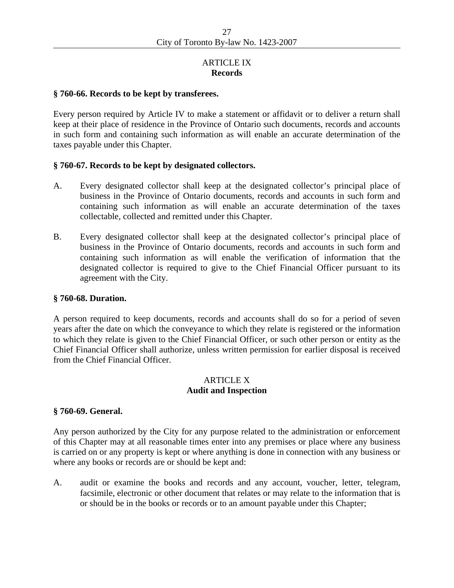# ARTICLE IX **Records**

#### **§ 760-66. Records to be kept by transferees.**

Every person required by Article IV to make a statement or affidavit or to deliver a return shall keep at their place of residence in the Province of Ontario such documents, records and accounts in such form and containing such information as will enable an accurate determination of the taxes payable under this Chapter.

## **§ 760-67. Records to be kept by designated collectors.**

- A. Every designated collector shall keep at the designated collector's principal place of business in the Province of Ontario documents, records and accounts in such form and containing such information as will enable an accurate determination of the taxes collectable, collected and remitted under this Chapter.
- B. Every designated collector shall keep at the designated collector's principal place of business in the Province of Ontario documents, records and accounts in such form and containing such information as will enable the verification of information that the designated collector is required to give to the Chief Financial Officer pursuant to its agreement with the City.

#### **§ 760-68. Duration.**

A person required to keep documents, records and accounts shall do so for a period of seven years after the date on which the conveyance to which they relate is registered or the information to which they relate is given to the Chief Financial Officer, or such other person or entity as the Chief Financial Officer shall authorize, unless written permission for earlier disposal is received from the Chief Financial Officer.

# ARTICLE X **Audit and Inspection**

#### **§ 760-69. General.**

Any person authorized by the City for any purpose related to the administration or enforcement of this Chapter may at all reasonable times enter into any premises or place where any business is carried on or any property is kept or where anything is done in connection with any business or where any books or records are or should be kept and:

A. audit or examine the books and records and any account, voucher, letter, telegram, facsimile, electronic or other document that relates or may relate to the information that is or should be in the books or records or to an amount payable under this Chapter;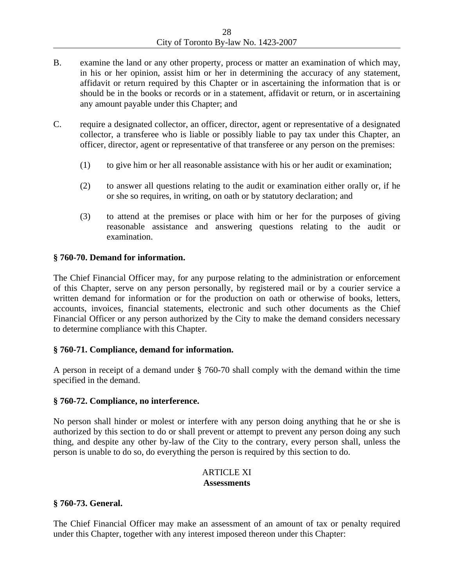- B. examine the land or any other property, process or matter an examination of which may, in his or her opinion, assist him or her in determining the accuracy of any statement, affidavit or return required by this Chapter or in ascertaining the information that is or should be in the books or records or in a statement, affidavit or return, or in ascertaining any amount payable under this Chapter; and
- C. require a designated collector, an officer, director, agent or representative of a designated collector, a transferee who is liable or possibly liable to pay tax under this Chapter, an officer, director, agent or representative of that transferee or any person on the premises:
	- (1) to give him or her all reasonable assistance with his or her audit or examination;
	- (2) to answer all questions relating to the audit or examination either orally or, if he or she so requires, in writing, on oath or by statutory declaration; and
	- (3) to attend at the premises or place with him or her for the purposes of giving reasonable assistance and answering questions relating to the audit or examination.

# **§ 760-70. Demand for information.**

The Chief Financial Officer may, for any purpose relating to the administration or enforcement of this Chapter, serve on any person personally, by registered mail or by a courier service a written demand for information or for the production on oath or otherwise of books, letters, accounts, invoices, financial statements, electronic and such other documents as the Chief Financial Officer or any person authorized by the City to make the demand considers necessary to determine compliance with this Chapter.

# **§ 760-71. Compliance, demand for information.**

A person in receipt of a demand under § 760-70 shall comply with the demand within the time specified in the demand.

# **§ 760-72. Compliance, no interference.**

No person shall hinder or molest or interfere with any person doing anything that he or she is authorized by this section to do or shall prevent or attempt to prevent any person doing any such thing, and despite any other by-law of the City to the contrary, every person shall, unless the person is unable to do so, do everything the person is required by this section to do.

#### ARTICLE XI **Assessments**

# **§ 760-73. General.**

The Chief Financial Officer may make an assessment of an amount of tax or penalty required under this Chapter, together with any interest imposed thereon under this Chapter: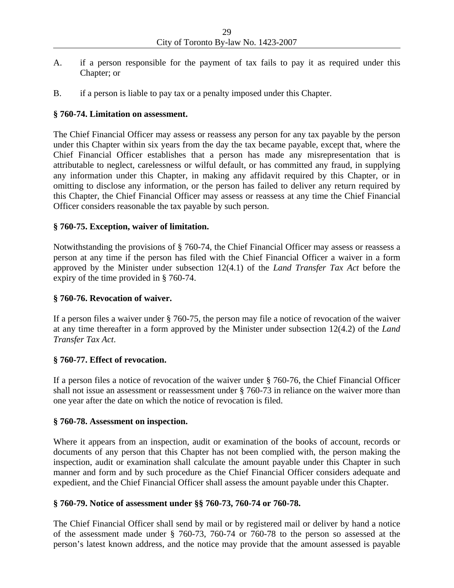- A. if a person responsible for the payment of tax fails to pay it as required under this Chapter; or
- B. if a person is liable to pay tax or a penalty imposed under this Chapter.

# **§ 760-74. Limitation on assessment.**

The Chief Financial Officer may assess or reassess any person for any tax payable by the person under this Chapter within six years from the day the tax became payable, except that, where the Chief Financial Officer establishes that a person has made any misrepresentation that is attributable to neglect, carelessness or wilful default, or has committed any fraud, in supplying any information under this Chapter, in making any affidavit required by this Chapter, or in omitting to disclose any information, or the person has failed to deliver any return required by this Chapter, the Chief Financial Officer may assess or reassess at any time the Chief Financial Officer considers reasonable the tax payable by such person.

# **§ 760-75. Exception, waiver of limitation.**

Notwithstanding the provisions of § 760-74, the Chief Financial Officer may assess or reassess a person at any time if the person has filed with the Chief Financial Officer a waiver in a form approved by the Minister under subsection 12(4.1) of the *Land Transfer Tax Act* before the expiry of the time provided in § 760-74.

# **§ 760-76. Revocation of waiver.**

If a person files a waiver under § 760-75, the person may file a notice of revocation of the waiver at any time thereafter in a form approved by the Minister under subsection 12(4.2) of the *Land Transfer Tax Act*.

# **§ 760-77. Effect of revocation.**

If a person files a notice of revocation of the waiver under § 760-76, the Chief Financial Officer shall not issue an assessment or reassessment under § 760-73 in reliance on the waiver more than one year after the date on which the notice of revocation is filed.

# **§ 760-78. Assessment on inspection.**

Where it appears from an inspection, audit or examination of the books of account, records or documents of any person that this Chapter has not been complied with, the person making the inspection, audit or examination shall calculate the amount payable under this Chapter in such manner and form and by such procedure as the Chief Financial Officer considers adequate and expedient, and the Chief Financial Officer shall assess the amount payable under this Chapter.

# **§ 760-79. Notice of assessment under §§ 760-73, 760-74 or 760-78.**

The Chief Financial Officer shall send by mail or by registered mail or deliver by hand a notice of the assessment made under § 760-73, 760-74 or 760-78 to the person so assessed at the person's latest known address, and the notice may provide that the amount assessed is payable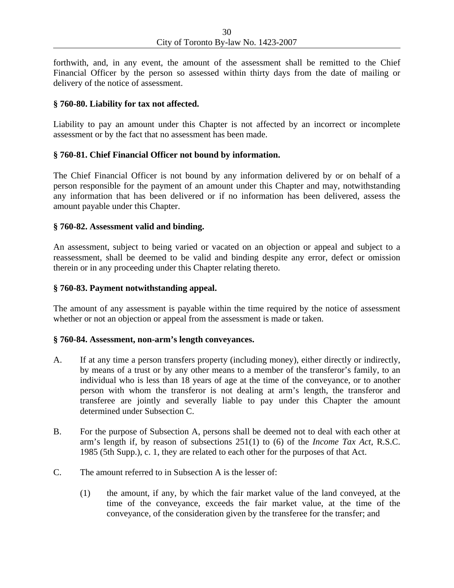forthwith, and, in any event, the amount of the assessment shall be remitted to the Chief Financial Officer by the person so assessed within thirty days from the date of mailing or delivery of the notice of assessment.

## **§ 760-80. Liability for tax not affected.**

Liability to pay an amount under this Chapter is not affected by an incorrect or incomplete assessment or by the fact that no assessment has been made.

# **§ 760-81. Chief Financial Officer not bound by information.**

The Chief Financial Officer is not bound by any information delivered by or on behalf of a person responsible for the payment of an amount under this Chapter and may, notwithstanding any information that has been delivered or if no information has been delivered, assess the amount payable under this Chapter.

## **§ 760-82. Assessment valid and binding.**

An assessment, subject to being varied or vacated on an objection or appeal and subject to a reassessment, shall be deemed to be valid and binding despite any error, defect or omission therein or in any proceeding under this Chapter relating thereto.

#### **§ 760-83. Payment notwithstanding appeal.**

The amount of any assessment is payable within the time required by the notice of assessment whether or not an objection or appeal from the assessment is made or taken.

#### **§ 760-84. Assessment, non-arm's length conveyances.**

- A. If at any time a person transfers property (including money), either directly or indirectly, by means of a trust or by any other means to a member of the transferor's family, to an individual who is less than 18 years of age at the time of the conveyance, or to another person with whom the transferor is not dealing at arm's length, the transferor and transferee are jointly and severally liable to pay under this Chapter the amount determined under Subsection C.
- B. For the purpose of Subsection A, persons shall be deemed not to deal with each other at arm's length if, by reason of subsections 251(1) to (6) of the *Income Tax Act*, R.S.C. 1985 (5th Supp.), c. 1, they are related to each other for the purposes of that Act.
- C. The amount referred to in Subsection A is the lesser of:
	- (1) the amount, if any, by which the fair market value of the land conveyed, at the time of the conveyance, exceeds the fair market value, at the time of the conveyance, of the consideration given by the transferee for the transfer; and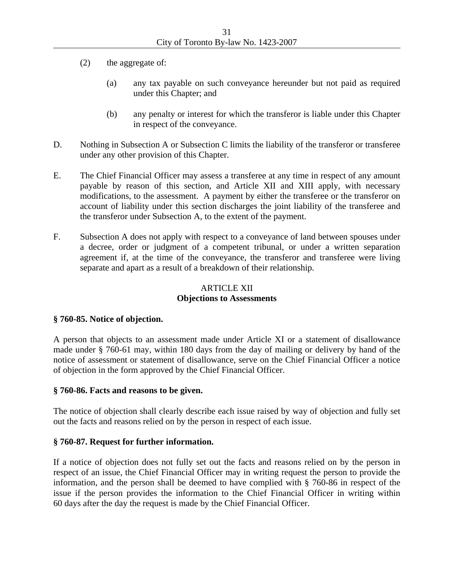- (2) the aggregate of:
	- (a) any tax payable on such conveyance hereunder but not paid as required under this Chapter; and
	- (b) any penalty or interest for which the transferor is liable under this Chapter in respect of the conveyance.
- D. Nothing in Subsection A or Subsection C limits the liability of the transferor or transferee under any other provision of this Chapter.
- E. The Chief Financial Officer may assess a transferee at any time in respect of any amount payable by reason of this section, and Article XII and XIII apply, with necessary modifications, to the assessment. A payment by either the transferee or the transferor on account of liability under this section discharges the joint liability of the transferee and the transferor under Subsection A, to the extent of the payment.
- F. Subsection A does not apply with respect to a conveyance of land between spouses under a decree, order or judgment of a competent tribunal, or under a written separation agreement if, at the time of the conveyance, the transferor and transferee were living separate and apart as a result of a breakdown of their relationship.

# ARTICLE XII **Objections to Assessments**

# **§ 760-85. Notice of objection.**

A person that objects to an assessment made under Article XI or a statement of disallowance made under § 760-61 may, within 180 days from the day of mailing or delivery by hand of the notice of assessment or statement of disallowance, serve on the Chief Financial Officer a notice of objection in the form approved by the Chief Financial Officer.

#### **§ 760-86. Facts and reasons to be given.**

The notice of objection shall clearly describe each issue raised by way of objection and fully set out the facts and reasons relied on by the person in respect of each issue.

#### **§ 760-87. Request for further information.**

If a notice of objection does not fully set out the facts and reasons relied on by the person in respect of an issue, the Chief Financial Officer may in writing request the person to provide the information, and the person shall be deemed to have complied with § 760-86 in respect of the issue if the person provides the information to the Chief Financial Officer in writing within 60 days after the day the request is made by the Chief Financial Officer.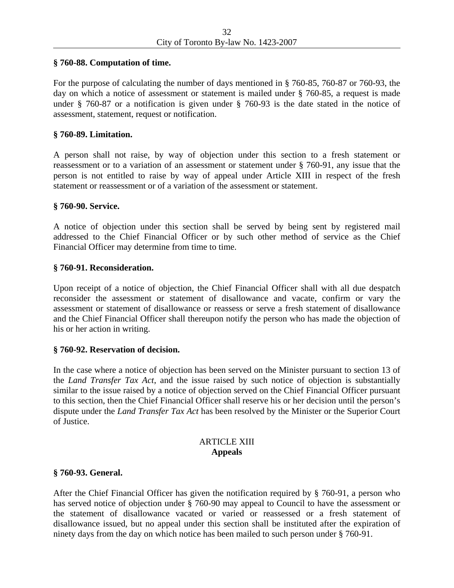## **§ 760-88. Computation of time.**

For the purpose of calculating the number of days mentioned in § 760-85, 760-87 or 760-93, the day on which a notice of assessment or statement is mailed under § 760-85, a request is made under § 760-87 or a notification is given under § 760-93 is the date stated in the notice of assessment, statement, request or notification.

## **§ 760-89. Limitation.**

A person shall not raise, by way of objection under this section to a fresh statement or reassessment or to a variation of an assessment or statement under § 760-91, any issue that the person is not entitled to raise by way of appeal under Article XIII in respect of the fresh statement or reassessment or of a variation of the assessment or statement.

## **§ 760-90. Service.**

A notice of objection under this section shall be served by being sent by registered mail addressed to the Chief Financial Officer or by such other method of service as the Chief Financial Officer may determine from time to time.

## **§ 760-91. Reconsideration.**

Upon receipt of a notice of objection, the Chief Financial Officer shall with all due despatch reconsider the assessment or statement of disallowance and vacate, confirm or vary the assessment or statement of disallowance or reassess or serve a fresh statement of disallowance and the Chief Financial Officer shall thereupon notify the person who has made the objection of his or her action in writing.

#### **§ 760-92. Reservation of decision.**

In the case where a notice of objection has been served on the Minister pursuant to section 13 of the *Land Transfer Tax Act*, and the issue raised by such notice of objection is substantially similar to the issue raised by a notice of objection served on the Chief Financial Officer pursuant to this section, then the Chief Financial Officer shall reserve his or her decision until the person's dispute under the *Land Transfer Tax Act* has been resolved by the Minister or the Superior Court of Justice.

# ARTICLE XIII **Appeals**

#### **§ 760-93. General.**

After the Chief Financial Officer has given the notification required by § 760-91, a person who has served notice of objection under § 760-90 may appeal to Council to have the assessment or the statement of disallowance vacated or varied or reassessed or a fresh statement of disallowance issued, but no appeal under this section shall be instituted after the expiration of ninety days from the day on which notice has been mailed to such person under § 760-91.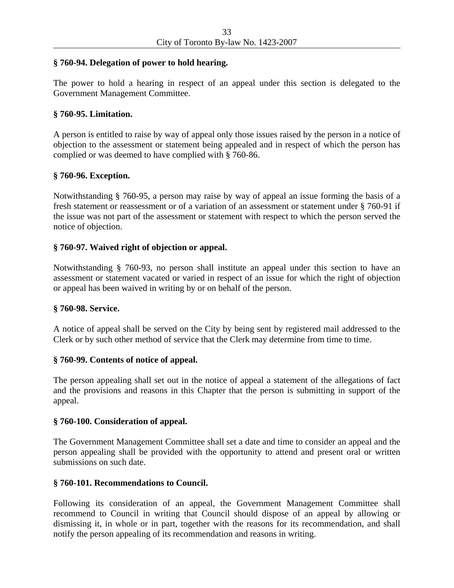## **§ 760-94. Delegation of power to hold hearing.**

The power to hold a hearing in respect of an appeal under this section is delegated to the Government Management Committee.

## **§ 760-95. Limitation.**

A person is entitled to raise by way of appeal only those issues raised by the person in a notice of objection to the assessment or statement being appealed and in respect of which the person has complied or was deemed to have complied with § 760-86.

## **§ 760-96. Exception.**

Notwithstanding § 760-95, a person may raise by way of appeal an issue forming the basis of a fresh statement or reassessment or of a variation of an assessment or statement under § 760-91 if the issue was not part of the assessment or statement with respect to which the person served the notice of objection.

## **§ 760-97. Waived right of objection or appeal.**

Notwithstanding § 760-93, no person shall institute an appeal under this section to have an assessment or statement vacated or varied in respect of an issue for which the right of objection or appeal has been waived in writing by or on behalf of the person.

#### **§ 760-98. Service.**

A notice of appeal shall be served on the City by being sent by registered mail addressed to the Clerk or by such other method of service that the Clerk may determine from time to time.

# **§ 760-99. Contents of notice of appeal.**

The person appealing shall set out in the notice of appeal a statement of the allegations of fact and the provisions and reasons in this Chapter that the person is submitting in support of the appeal.

#### **§ 760-100. Consideration of appeal.**

The Government Management Committee shall set a date and time to consider an appeal and the person appealing shall be provided with the opportunity to attend and present oral or written submissions on such date.

# **§ 760-101. Recommendations to Council.**

Following its consideration of an appeal, the Government Management Committee shall recommend to Council in writing that Council should dispose of an appeal by allowing or dismissing it, in whole or in part, together with the reasons for its recommendation, and shall notify the person appealing of its recommendation and reasons in writing.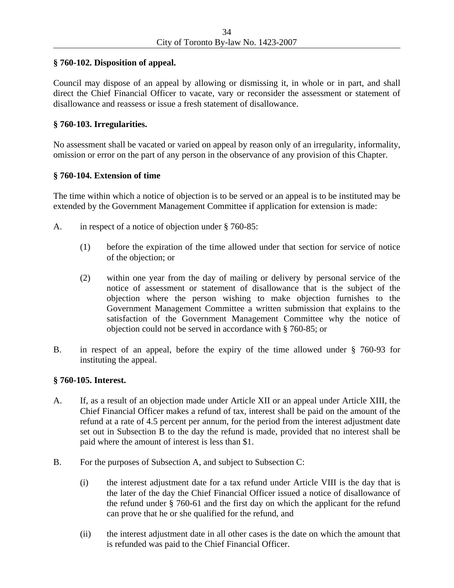# **§ 760-102. Disposition of appeal.**

Council may dispose of an appeal by allowing or dismissing it, in whole or in part, and shall direct the Chief Financial Officer to vacate, vary or reconsider the assessment or statement of disallowance and reassess or issue a fresh statement of disallowance.

# **§ 760-103. Irregularities.**

No assessment shall be vacated or varied on appeal by reason only of an irregularity, informality, omission or error on the part of any person in the observance of any provision of this Chapter.

# **§ 760-104. Extension of time**

The time within which a notice of objection is to be served or an appeal is to be instituted may be extended by the Government Management Committee if application for extension is made:

- A. in respect of a notice of objection under § 760-85:
	- (1) before the expiration of the time allowed under that section for service of notice of the objection; or
	- (2) within one year from the day of mailing or delivery by personal service of the notice of assessment or statement of disallowance that is the subject of the objection where the person wishing to make objection furnishes to the Government Management Committee a written submission that explains to the satisfaction of the Government Management Committee why the notice of objection could not be served in accordance with § 760-85; or
- B. in respect of an appeal, before the expiry of the time allowed under § 760-93 for instituting the appeal.

# **§ 760-105. Interest.**

- A. If, as a result of an objection made under Article XII or an appeal under Article XIII, the Chief Financial Officer makes a refund of tax, interest shall be paid on the amount of the refund at a rate of 4.5 percent per annum, for the period from the interest adjustment date set out in Subsection B to the day the refund is made, provided that no interest shall be paid where the amount of interest is less than \$1.
- B. For the purposes of Subsection A, and subject to Subsection C:
	- (i) the interest adjustment date for a tax refund under Article VIII is the day that is the later of the day the Chief Financial Officer issued a notice of disallowance of the refund under § 760-61 and the first day on which the applicant for the refund can prove that he or she qualified for the refund, and
	- (ii) the interest adjustment date in all other cases is the date on which the amount that is refunded was paid to the Chief Financial Officer.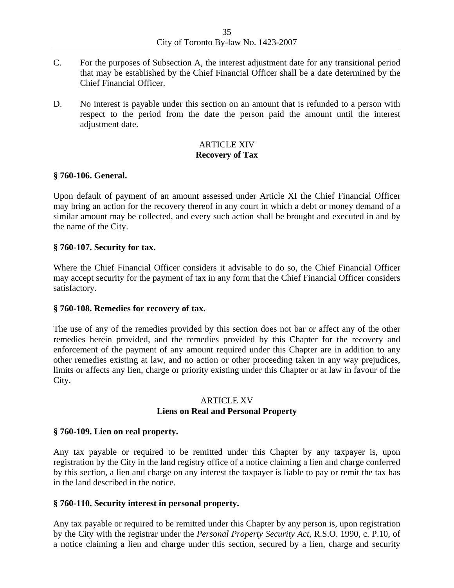- C. For the purposes of Subsection A, the interest adjustment date for any transitional period that may be established by the Chief Financial Officer shall be a date determined by the Chief Financial Officer.
- D. No interest is payable under this section on an amount that is refunded to a person with respect to the period from the date the person paid the amount until the interest adjustment date.

# ARTICLE XIV **Recovery of Tax**

## **§ 760-106. General.**

Upon default of payment of an amount assessed under Article XI the Chief Financial Officer may bring an action for the recovery thereof in any court in which a debt or money demand of a similar amount may be collected, and every such action shall be brought and executed in and by the name of the City.

## **§ 760-107. Security for tax.**

Where the Chief Financial Officer considers it advisable to do so, the Chief Financial Officer may accept security for the payment of tax in any form that the Chief Financial Officer considers satisfactory.

#### **§ 760-108. Remedies for recovery of tax.**

The use of any of the remedies provided by this section does not bar or affect any of the other remedies herein provided, and the remedies provided by this Chapter for the recovery and enforcement of the payment of any amount required under this Chapter are in addition to any other remedies existing at law, and no action or other proceeding taken in any way prejudices, limits or affects any lien, charge or priority existing under this Chapter or at law in favour of the City.

# ARTICLE XV **Liens on Real and Personal Property**

#### **§ 760-109. Lien on real property.**

Any tax payable or required to be remitted under this Chapter by any taxpayer is, upon registration by the City in the land registry office of a notice claiming a lien and charge conferred by this section, a lien and charge on any interest the taxpayer is liable to pay or remit the tax has in the land described in the notice.

#### **§ 760-110. Security interest in personal property.**

Any tax payable or required to be remitted under this Chapter by any person is, upon registration by the City with the registrar under the *Personal Property Security Act*, R.S.O. 1990, c. P.10, of a notice claiming a lien and charge under this section, secured by a lien, charge and security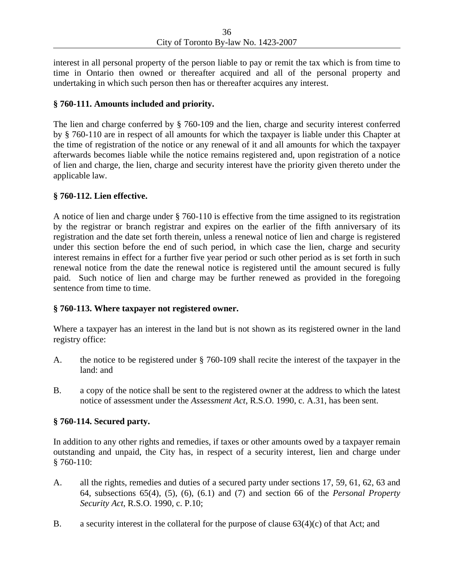interest in all personal property of the person liable to pay or remit the tax which is from time to time in Ontario then owned or thereafter acquired and all of the personal property and undertaking in which such person then has or thereafter acquires any interest.

# **§ 760-111. Amounts included and priority.**

The lien and charge conferred by § 760-109 and the lien, charge and security interest conferred by § 760-110 are in respect of all amounts for which the taxpayer is liable under this Chapter at the time of registration of the notice or any renewal of it and all amounts for which the taxpayer afterwards becomes liable while the notice remains registered and, upon registration of a notice of lien and charge, the lien, charge and security interest have the priority given thereto under the applicable law.

# **§ 760-112. Lien effective.**

A notice of lien and charge under § 760-110 is effective from the time assigned to its registration by the registrar or branch registrar and expires on the earlier of the fifth anniversary of its registration and the date set forth therein, unless a renewal notice of lien and charge is registered under this section before the end of such period, in which case the lien, charge and security interest remains in effect for a further five year period or such other period as is set forth in such renewal notice from the date the renewal notice is registered until the amount secured is fully paid. Such notice of lien and charge may be further renewed as provided in the foregoing sentence from time to time.

# **§ 760-113. Where taxpayer not registered owner.**

Where a taxpayer has an interest in the land but is not shown as its registered owner in the land registry office:

- A. the notice to be registered under § 760-109 shall recite the interest of the taxpayer in the land: and
- B. a copy of the notice shall be sent to the registered owner at the address to which the latest notice of assessment under the *Assessment Act*, R.S.O. 1990, c. A.31, has been sent.

# **§ 760-114. Secured party.**

In addition to any other rights and remedies, if taxes or other amounts owed by a taxpayer remain outstanding and unpaid, the City has, in respect of a security interest, lien and charge under § 760-110:

- A. all the rights, remedies and duties of a secured party under sections 17, 59, 61, 62, 63 and 64, subsections 65(4), (5), (6), (6.1) and (7) and section 66 of the *Personal Property Security Act*, R.S.O. 1990, c. P.10;
- B. a security interest in the collateral for the purpose of clause 63(4)(c) of that Act; and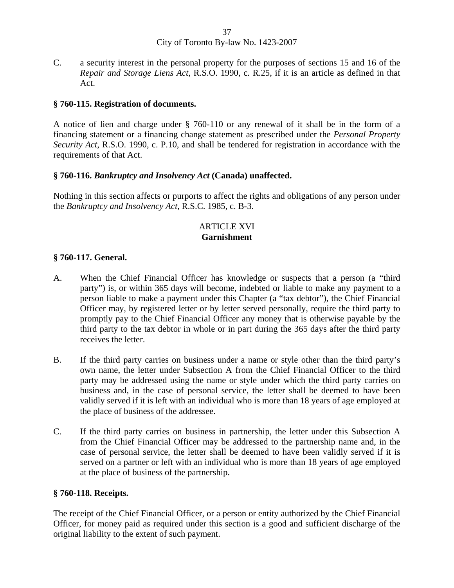C. a security interest in the personal property for the purposes of sections 15 and 16 of the *Repair and Storage Liens Act*, R.S.O. 1990, c. R.25, if it is an article as defined in that Act.

# **§ 760-115. Registration of documents.**

A notice of lien and charge under § 760-110 or any renewal of it shall be in the form of a financing statement or a financing change statement as prescribed under the *Personal Property Security Act*, R.S.O. 1990, c. P.10, and shall be tendered for registration in accordance with the requirements of that Act.

## **§ 760-116.** *Bankruptcy and Insolvency Act* **(Canada) unaffected.**

Nothing in this section affects or purports to affect the rights and obligations of any person under the *Bankruptcy and Insolvency Act*, R.S.C. 1985, c. B-3.

# ARTICLE XVI **Garnishment**

## **§ 760-117. General.**

- A. When the Chief Financial Officer has knowledge or suspects that a person (a "third party") is, or within 365 days will become, indebted or liable to make any payment to a person liable to make a payment under this Chapter (a "tax debtor"), the Chief Financial Officer may, by registered letter or by letter served personally, require the third party to promptly pay to the Chief Financial Officer any money that is otherwise payable by the third party to the tax debtor in whole or in part during the 365 days after the third party receives the letter.
- B. If the third party carries on business under a name or style other than the third party's own name, the letter under Subsection A from the Chief Financial Officer to the third party may be addressed using the name or style under which the third party carries on business and, in the case of personal service, the letter shall be deemed to have been validly served if it is left with an individual who is more than 18 years of age employed at the place of business of the addressee.
- C. If the third party carries on business in partnership, the letter under this Subsection A from the Chief Financial Officer may be addressed to the partnership name and, in the case of personal service, the letter shall be deemed to have been validly served if it is served on a partner or left with an individual who is more than 18 years of age employed at the place of business of the partnership.

#### **§ 760-118. Receipts.**

The receipt of the Chief Financial Officer, or a person or entity authorized by the Chief Financial Officer, for money paid as required under this section is a good and sufficient discharge of the original liability to the extent of such payment.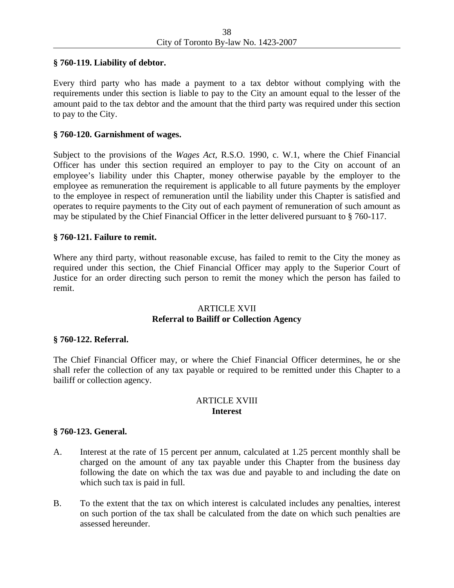## **§ 760-119. Liability of debtor.**

Every third party who has made a payment to a tax debtor without complying with the requirements under this section is liable to pay to the City an amount equal to the lesser of the amount paid to the tax debtor and the amount that the third party was required under this section to pay to the City.

## **§ 760-120. Garnishment of wages.**

Subject to the provisions of the *Wages Act*, R.S.O. 1990, c. W.1, where the Chief Financial Officer has under this section required an employer to pay to the City on account of an employee's liability under this Chapter, money otherwise payable by the employer to the employee as remuneration the requirement is applicable to all future payments by the employer to the employee in respect of remuneration until the liability under this Chapter is satisfied and operates to require payments to the City out of each payment of remuneration of such amount as may be stipulated by the Chief Financial Officer in the letter delivered pursuant to § 760-117.

## **§ 760-121. Failure to remit.**

Where any third party, without reasonable excuse, has failed to remit to the City the money as required under this section, the Chief Financial Officer may apply to the Superior Court of Justice for an order directing such person to remit the money which the person has failed to remit.

## ARTICLE XVII **Referral to Bailiff or Collection Agency**

#### **§ 760-122. Referral.**

The Chief Financial Officer may, or where the Chief Financial Officer determines, he or she shall refer the collection of any tax payable or required to be remitted under this Chapter to a bailiff or collection agency.

# ARTICLE XVIII **Interest**

#### **§ 760-123. General.**

- A. Interest at the rate of 15 percent per annum, calculated at 1.25 percent monthly shall be charged on the amount of any tax payable under this Chapter from the business day following the date on which the tax was due and payable to and including the date on which such tax is paid in full.
- B. To the extent that the tax on which interest is calculated includes any penalties, interest on such portion of the tax shall be calculated from the date on which such penalties are assessed hereunder.